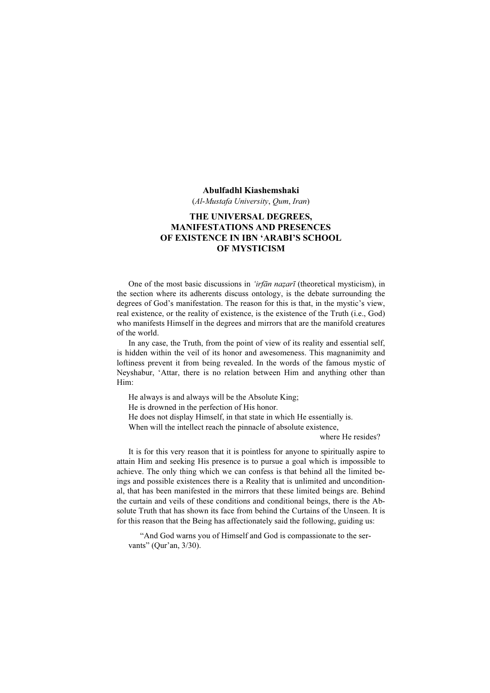#### Abulfadhl Kiashemshaki

(Al-Mustafa University, Qum, Iran)

# THE UNIVERSAL DEGREES, MANIFESTATIONS AND PRESENCES OF EXISTENCE IN IBN 'ARABI'S SCHOOL OF MYSTICISM

One of the most basic discussions in *'irfān nazarī* (theoretical mysticism), in the section where its adherents discuss ontology, is the debate surrounding the degrees of God's manifestation. The reason for this is that, in the mystic's view, real existence, or the reality of existence, is the existence of the Truth (i.e., God) who manifests Himself in the degrees and mirrors that are the manifold creatures of the world.

In any case, the Truth, from the point of view of its reality and essential self, is hidden within the veil of its honor and awesomeness. This magnanimity and loftiness prevent it from being revealed. In the words of the famous mystic of Neyshabur, 'Attar, there is no relation between Him and anything other than Him:

He always is and always will be the Absolute King;

He is drowned in the perfection of His honor.

He does not display Himself, in that state in which He essentially is.

When will the intellect reach the pinnacle of absolute existence,

where He resides?

It is for this very reason that it is pointless for anyone to spiritually aspire to attain Him and seeking His presence is to pursue a goal which is impossible to achieve. The only thing which we can confess is that behind all the limited beings and possible existences there is a Reality that is unlimited and unconditional, that has been manifested in the mirrors that these limited beings are. Behind the curtain and veils of these conditions and conditional beings, there is the Absolute Truth that has shown its face from behind the Curtains of the Unseen. It is for this reason that the Being has affectionately said the following, guiding us:

"And God warns you of Himself and God is compassionate to the servants" (Qur'an, 3/30).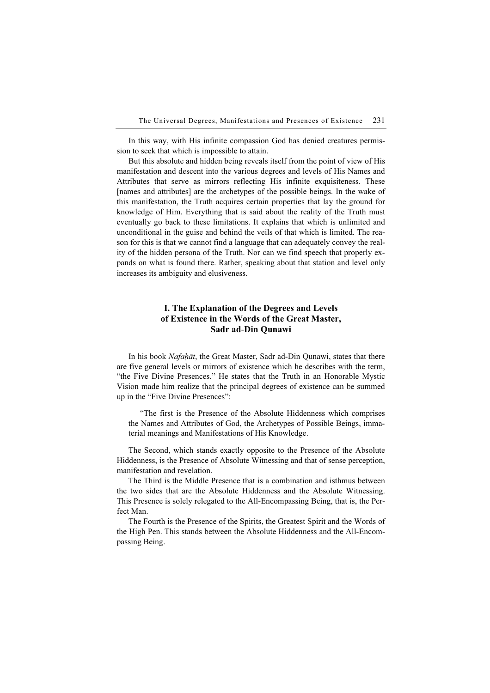In this way, with His infinite compassion God has denied creatures permission to seek that which is impossible to attain.

But this absolute and hidden being reveals itself from the point of view of His manifestation and descent into the various degrees and levels of His Names and Attributes that serve as mirrors reflecting His infinite exquisiteness. These [names and attributes] are the archetypes of the possible beings. In the wake of this manifestation, the Truth acquires certain properties that lay the ground for knowledge of Him. Everything that is said about the reality of the Truth must eventually go back to these limitations. It explains that which is unlimited and unconditional in the guise and behind the veils of that which is limited. The reason for this is that we cannot find a language that can adequately convey the reality of the hidden persona of the Truth. Nor can we find speech that properly expands on what is found there. Rather, speaking about that station and level only increases its ambiguity and elusiveness.

## I. The Explanation of the Degrees and Levels of Existence in the Words of the Great Master, Sadr ad-Din Qunawi

In his book Nafaḥāt, the Great Master, Sadr ad-Din Qunawi, states that there are five general levels or mirrors of existence which he describes with the term, "the Five Divine Presences." He states that the Truth in an Honorable Mystic Vision made him realize that the principal degrees of existence can be summed up in the "Five Divine Presences":

"The first is the Presence of the Absolute Hiddenness which comprises the Names and Attributes of God, the Archetypes of Possible Beings, immaterial meanings and Manifestations of His Knowledge.

The Second, which stands exactly opposite to the Presence of the Absolute Hiddenness, is the Presence of Absolute Witnessing and that of sense perception, manifestation and revelation.

The Third is the Middle Presence that is a combination and isthmus between the two sides that are the Absolute Hiddenness and the Absolute Witnessing. This Presence is solely relegated to the All-Encompassing Being, that is, the Perfect Man.

The Fourth is the Presence of the Spirits, the Greatest Spirit and the Words of the High Pen. This stands between the Absolute Hiddenness and the All-Encompassing Being.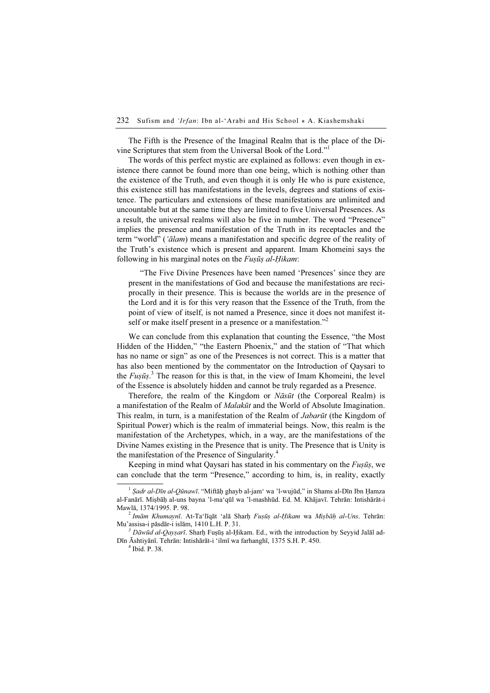The Fifth is the Presence of the Imaginal Realm that is the place of the Divine Scriptures that stem from the Universal Book of the Lord."<sup>1</sup>

The words of this perfect mystic are explained as follows: even though in existence there cannot be found more than one being, which is nothing other than the existence of the Truth, and even though it is only He who is pure existence, this existence still has manifestations in the levels, degrees and stations of existence. The particulars and extensions of these manifestations are unlimited and uncountable but at the same time they are limited to five Universal Presences. As a result, the universal realms will also be five in number. The word "Presence" implies the presence and manifestation of the Truth in its receptacles and the term "world" ('ālam) means a manifestation and specific degree of the reality of the Truth's existence which is present and apparent. Imam Khomeini says the following in his marginal notes on the  $Fus\bar{u}s$  al-Hikam:

"The Five Divine Presences have been named 'Presences' since they are present in the manifestations of God and because the manifestations are reciprocally in their presence. This is because the worlds are in the presence of the Lord and it is for this very reason that the Essence of the Truth, from the point of view of itself, is not named a Presence, since it does not manifest itself or make itself present in a presence or a manifestation."<sup>2</sup>

We can conclude from this explanation that counting the Essence, "the Most Hidden of the Hidden," "the Eastern Phoenix," and the station of "That which has no name or sign" as one of the Presences is not correct. This is a matter that has also been mentioned by the commentator on the Introduction of Qaysari to the  $F \omega_s \bar{u}_s$ .<sup>3</sup> The reason for this is that, in the view of Imam Khomeini, the level of the Essence is absolutely hidden and cannot be truly regarded as a Presence.

Therefore, the realm of the Kingdom or *Nāsūt* (the Corporeal Realm) is a manifestation of the Realm of *Malakūt* and the World of Absolute Imagination. This realm, in turn, is a manifestation of the Realm of *Jabarūt* (the Kingdom of Spiritual Power) which is the realm of immaterial beings. Now, this realm is the manifestation of the Archetypes, which, in a way, are the manifestations of the Divine Names existing in the Presence that is unity. The Presence that is Unity is the manifestation of the Presence of Singularity.<sup>4</sup>

Keeping in mind what Qaysari has stated in his commentary on the Fuṣūṣ, we can conclude that the term "Presence," according to him, is, in reality, exactly

<sup>&</sup>lt;sup>1</sup> *Sadr al-Dīn al-Qūnawī*. "Miftāḥ ghayb al-jam' wa 'l-wujūd," in Shams al-Dīn Ibn Ḥamza al-Fanārī. Miṣbāḥ al-uns bayna 'l-ma'qūl wa 'l-mashhūd. Ed. M. Khājavī. Tehrān: Intishārāt-i

 $^{2}$  Imām Khumaynī. At-Ta'līqāt 'alā Sharḥ Fuṣūṣ al-Ḥikam wa Miṣbāḥ al-Uns. Tehrān: Mu'assisa-i pāsdār-i islām, 1410 L.H. P. 31.

 $\delta$  Dāwūd al-Qaysarī. Sharh Fuṣūṣ al-Ḥikam. Ed., with the introduction by Seyyid Jalāl ad-Dīn Āshtiyānī. Tehrān: Intishārāt-i 'ilmī wa farhanghī, 1375 S.H. P. 450. <sup>4</sup>

 $<sup>4</sup>$  Ibid. P. 38.</sup>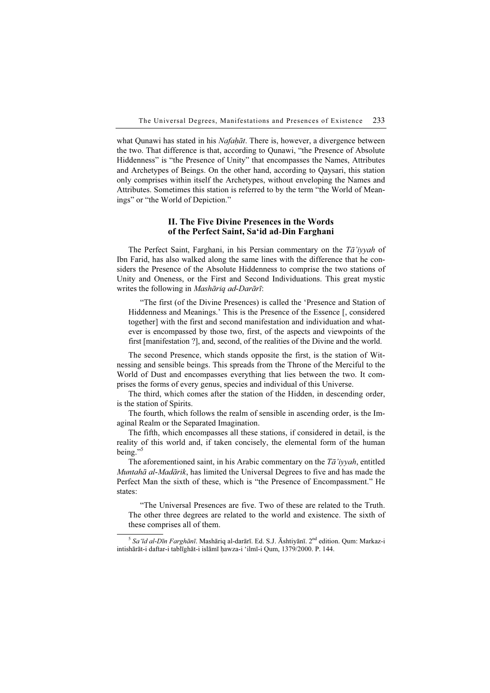what Qunawi has stated in his *Nafahāt*. There is, however, a divergence between the two. That difference is that, according to Qunawi, "the Presence of Absolute Hiddenness" is "the Presence of Unity" that encompasses the Names, Attributes and Archetypes of Beings. On the other hand, according to Qaysari, this station only comprises within itself the Archetypes, without enveloping the Names and Attributes. Sometimes this station is referred to by the term "the World of Meanings" or "the World of Depiction."

### II. The Five Divine Presences in the Words of the Perfect Saint, Sa'id ad-Din Farghani

The Perfect Saint, Farghani, in his Persian commentary on the Ta'iyyah of Ibn Farid, has also walked along the same lines with the difference that he considers the Presence of the Absolute Hiddenness to comprise the two stations of Unity and Oneness, or the First and Second Individuations. This great mystic writes the following in Mashāriq ad-Darārī:

"The first (of the Divine Presences) is called the 'Presence and Station of Hiddenness and Meanings.' This is the Presence of the Essence [, considered together] with the first and second manifestation and individuation and whatever is encompassed by those two, first, of the aspects and viewpoints of the first [manifestation ?], and, second, of the realities of the Divine and the world.

The second Presence, which stands opposite the first, is the station of Witnessing and sensible beings. This spreads from the Throne of the Merciful to the World of Dust and encompasses everything that lies between the two. It comprises the forms of every genus, species and individual of this Universe.

The third, which comes after the station of the Hidden, in descending order, is the station of Spirits.

The fourth, which follows the realm of sensible in ascending order, is the Imaginal Realm or the Separated Imagination.

The fifth, which encompasses all these stations, if considered in detail, is the reality of this world and, if taken concisely, the elemental form of the human being." $5$ 

The aforementioned saint, in his Arabic commentary on the  $T\bar{a}$ 'iyyah, entitled Muntahā al-Madārik, has limited the Universal Degrees to five and has made the Perfect Man the sixth of these, which is "the Presence of Encompassment." He states:

"The Universal Presences are five. Two of these are related to the Truth. The other three degrees are related to the world and existence. The sixth of these comprises all of them.

 $5$  Sa'īd al-Dīn Farghānī. Mashāriq al-darārī. Ed. S.J. Āshtiyānī.  $2<sup>nd</sup>$  edition. Qum: Markaz-i intishārāt-i daftar-i tablīghāt-i islāmī ḥawza-i 'ilmī-i Qum, 1379/2000. P. 144.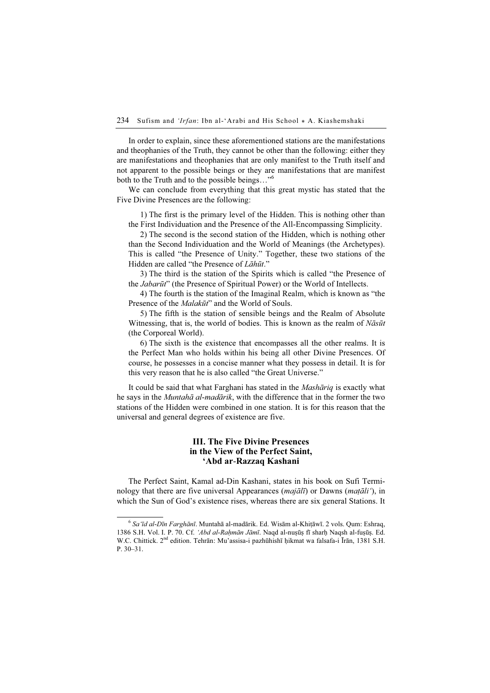In order to explain, since these aforementioned stations are the manifestations and theophanies of the Truth, they cannot be other than the following: either they are manifestations and theophanies that are only manifest to the Truth itself and not apparent to the possible beings or they are manifestations that are manifest both to the Truth and to the possible beings…"<sup>6</sup>

We can conclude from everything that this great mystic has stated that the Five Divine Presences are the following:

1) The first is the primary level of the Hidden. This is nothing other than the First Individuation and the Presence of the All-Encompassing Simplicity.

2) The second is the second station of the Hidden, which is nothing other than the Second Individuation and the World of Meanings (the Archetypes). This is called "the Presence of Unity." Together, these two stations of the Hidden are called "the Presence of Lāhūt."

3) The third is the station of the Spirits which is called "the Presence of the Jabarūt" (the Presence of Spiritual Power) or the World of Intellects.

4) The fourth is the station of the Imaginal Realm, which is known as "the Presence of the *Malakūt*" and the World of Souls.

5) The fifth is the station of sensible beings and the Realm of Absolute Witnessing, that is, the world of bodies. This is known as the realm of  $N\bar{a}s\bar{u}t$ (the Corporeal World).

6) The sixth is the existence that encompasses all the other realms. It is the Perfect Man who holds within his being all other Divine Presences. Of course, he possesses in a concise manner what they possess in detail. It is for this very reason that he is also called "the Great Universe."

It could be said that what Farghani has stated in the Mashāriq is exactly what he says in the Muntahā al-madārik, with the difference that in the former the two stations of the Hidden were combined in one station. It is for this reason that the universal and general degrees of existence are five.

### III. The Five Divine Presences in the View of the Perfect Saint, 'Abd ar-Razzaq Kashani

The Perfect Saint, Kamal ad-Din Kashani, states in his book on Sufi Terminology that there are five universal Appearances (*majālī*) or Dawns (*matāli*<sup>'</sup>), in which the Sun of God's existence rises, whereas there are six general Stations. It

 $6$  Sa'īd al-Dīn Farghānī. Muntahā al-madārik. Ed. Wisām al-Khiṭāwī. 2 vols. Qum: Eshraq, 1386 S.H. Vol. I. P. 70. Cf. 'Abd al-Raḥmān Jāmī. Naqd al-nuṣūṣ fī sharḥ Naqsh al-fuṣūṣ. Ed. W.C. Chittick. 2nd edition. Tehrān: Mu'assisa-i pazhūhishī ḥikmat wa falsafa-i Īrān, 1381 S.H. P. 30–31.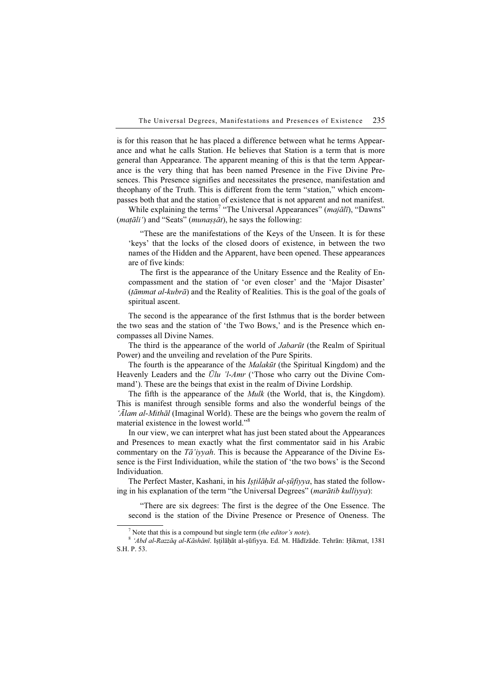is for this reason that he has placed a difference between what he terms Appearance and what he calls Station. He believes that Station is a term that is more general than Appearance. The apparent meaning of this is that the term Appearance is the very thing that has been named Presence in the Five Divine Presences. This Presence signifies and necessitates the presence, manifestation and theophany of the Truth. This is different from the term "station," which encompasses both that and the station of existence that is not apparent and not manifest.

While explaining the terms<sup>7</sup> "The Universal Appearances" (majālī), "Dawns"  $(mat\tilde{a}li')$  and "Seats" (*munass* $\tilde{a}t$ ), he says the following:

"These are the manifestations of the Keys of the Unseen. It is for these 'keys' that the locks of the closed doors of existence, in between the two names of the Hidden and the Apparent, have been opened. These appearances are of five kinds:

The first is the appearance of the Unitary Essence and the Reality of Encompassment and the station of 'or even closer' and the 'Major Disaster'  $(t\bar{a}mnat\ al-kubr\bar{a})$  and the Reality of Realities. This is the goal of the goals of spiritual ascent.

The second is the appearance of the first Isthmus that is the border between the two seas and the station of 'the Two Bows,' and is the Presence which encompasses all Divine Names.

The third is the appearance of the world of *Jabarūt* (the Realm of Spiritual Power) and the unveiling and revelation of the Pure Spirits.

The fourth is the appearance of the *Malakūt* (the Spiritual Kingdom) and the Heavenly Leaders and the  $\bar{U}lu$  'l-Amr ('Those who carry out the Divine Command'). These are the beings that exist in the realm of Divine Lordship.

The fifth is the appearance of the *Mulk* (the World, that is, the Kingdom). This is manifest through sensible forms and also the wonderful beings of the 'Alam al-Mithāl (Imaginal World). These are the beings who govern the realm of material existence in the lowest world."<sup>8</sup>

In our view, we can interpret what has just been stated about the Appearances and Presences to mean exactly what the first commentator said in his Arabic commentary on the Ta'iyyah. This is because the Appearance of the Divine Essence is the First Individuation, while the station of 'the two bows' is the Second Individuation.

The Perfect Master, Kashani, in his Ișțilāḥāt al-șūfiyya, has stated the following in his explanation of the term "the Universal Degrees" (marātib kulliyya):

"There are six degrees: The first is the degree of the One Essence. The second is the station of the Divine Presence or Presence of Oneness. The

 $\frac{7}{7}$  Note that this is a compound but single term (the editor's note).

<sup>8 &#</sup>x27;Abd al-Razzāq al-Kāshānī. Iṣṭilāḥāt al-ṣūfiyya. Ed. M. Hādīzāde. Tehrān: Ḥikmat, 1381 S.H. P. 53.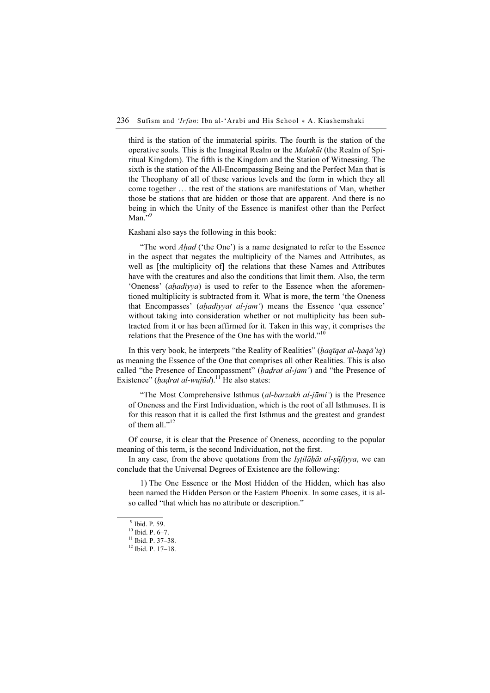third is the station of the immaterial spirits. The fourth is the station of the operative souls. This is the Imaginal Realm or the Malakūt (the Realm of Spiritual Kingdom). The fifth is the Kingdom and the Station of Witnessing. The sixth is the station of the All-Encompassing Being and the Perfect Man that is the Theophany of all of these various levels and the form in which they all come together … the rest of the stations are manifestations of Man, whether those be stations that are hidden or those that are apparent. And there is no being in which the Unity of the Essence is manifest other than the Perfect Man." $9$ 

Kashani also says the following in this book:

"The word *Ahad* ('the One') is a name designated to refer to the Essence in the aspect that negates the multiplicity of the Names and Attributes, as well as [the multiplicity of] the relations that these Names and Attributes have with the creatures and also the conditions that limit them. Also, the term 'Oneness' (ahadiyya) is used to refer to the Essence when the aforementioned multiplicity is subtracted from it. What is more, the term 'the Oneness that Encompasses' (*ahadiyyat al-jam* ) means the Essence 'qua essence' without taking into consideration whether or not multiplicity has been subtracted from it or has been affirmed for it. Taken in this way, it comprises the relations that the Presence of the One has with the world."<sup>10</sup>

In this very book, he interprets "the Reality of Realities" (haqīqat al-haqā'iq) as meaning the Essence of the One that comprises all other Realities. This is also called "the Presence of Encompassment" (*hadrat al-jam*) and "the Presence of Existence" (hadrat al-wujūd).<sup>11</sup> He also states:

"The Most Comprehensive Isthmus (al-barzakh al-jāmi') is the Presence of Oneness and the First Individuation, which is the root of all Isthmuses. It is for this reason that it is called the first Isthmus and the greatest and grandest of them all "<sup>12</sup>

Of course, it is clear that the Presence of Oneness, according to the popular meaning of this term, is the second Individuation, not the first.

In any case, from the above quotations from the *Istilahat al-sūfiyya*, we can conclude that the Universal Degrees of Existence are the following:

1) The One Essence or the Most Hidden of the Hidden, which has also been named the Hidden Person or the Eastern Phoenix. In some cases, it is also called "that which has no attribute or description."

<sup>9</sup> Ibid. P. 59.

<sup>10</sup> Ibid. P. 6–7.

<sup>&</sup>lt;sup>11</sup> Ibid. P. 37-38.

<sup>12</sup> Ibid. P. 17–18.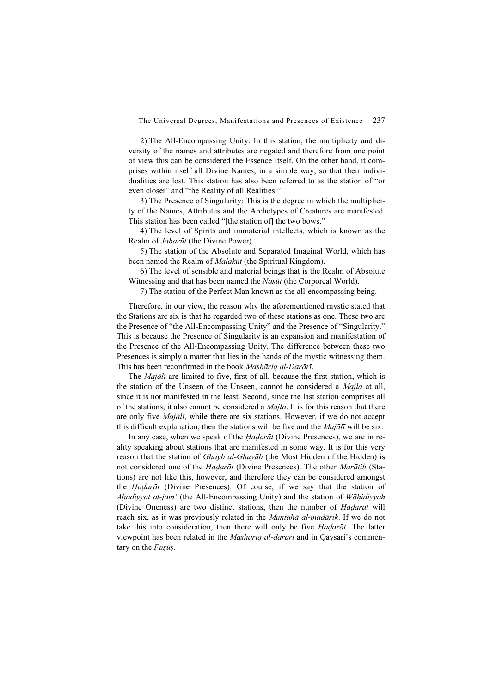2) The All-Encompassing Unity. In this station, the multiplicity and diversity of the names and attributes are negated and therefore from one point of view this can be considered the Essence Itself. On the other hand, it comprises within itself all Divine Names, in a simple way, so that their individualities are lost. This station has also been referred to as the station of "or even closer" and "the Reality of all Realities."

3) The Presence of Singularity: This is the degree in which the multiplicity of the Names, Attributes and the Archetypes of Creatures are manifested. This station has been called "[the station of] the two bows."

4) The level of Spirits and immaterial intellects, which is known as the Realm of Jabarūt (the Divine Power).

5) The station of the Absolute and Separated Imaginal World, which has been named the Realm of *Malakūt* (the Spiritual Kingdom).

6) The level of sensible and material beings that is the Realm of Absolute Witnessing and that has been named the Nasūt (the Corporeal World).

7) The station of the Perfect Man known as the all-encompassing being.

Therefore, in our view, the reason why the aforementioned mystic stated that the Stations are six is that he regarded two of these stations as one. These two are the Presence of "the All-Encompassing Unity" and the Presence of "Singularity." This is because the Presence of Singularity is an expansion and manifestation of the Presence of the All-Encompassing Unity. The difference between these two Presences is simply a matter that lies in the hands of the mystic witnessing them. This has been reconfirmed in the book Mashāriq al-Darārī.

The Majālī are limited to five, first of all, because the first station, which is the station of the Unseen of the Unseen, cannot be considered a *Majla* at all, since it is not manifested in the least. Second, since the last station comprises all of the stations, it also cannot be considered a *Majla*. It is for this reason that there are only five *Majālī*, while there are six stations. However, if we do not accept this difficult explanation, then the stations will be five and the  $Majāl\bar{\imath}$  will be six.

In any case, when we speak of the *Hadarāt* (Divine Presences), we are in reality speaking about stations that are manifested in some way. It is for this very reason that the station of *Ghayb al-Ghuyūb* (the Most Hidden of the Hidden) is not considered one of the *Hadarāt* (Divine Presences). The other *Marātib* (Stations) are not like this, however, and therefore they can be considered amongst the Ḥaḍarāt (Divine Presences). Of course, if we say that the station of Ahadiyyat al-jam' (the All-Encompassing Unity) and the station of Wāhidiyyah (Divine Oneness) are two distinct stations, then the number of *Hadarāt* will reach six, as it was previously related in the Muntahā al-madārik. If we do not take this into consideration, then there will only be five *Hadarāt*. The latter viewpoint has been related in the *Mashāriq al-darārī* and in Oaysari's commentary on the Fusūs.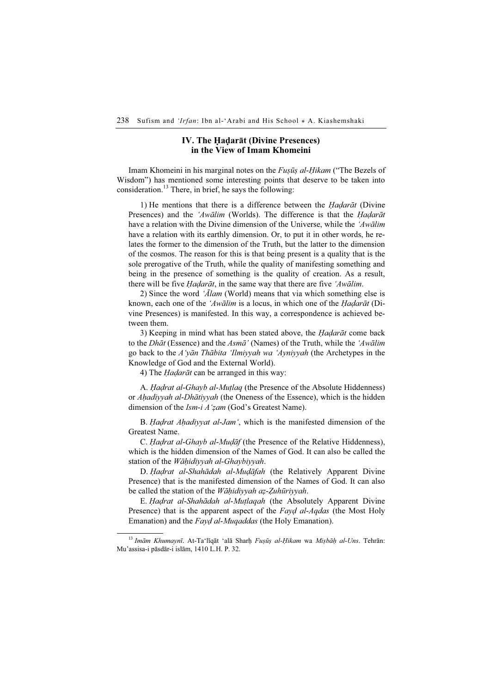#### IV. The Ḥaḍarāt (Divine Presences) in the View of Imam Khomeini

Imam Khomeini in his marginal notes on the *Fusūs al-Hikam* ("The Bezels of Wisdom") has mentioned some interesting points that deserve to be taken into consideration.<sup>13</sup> There, in brief, he says the following:

1) He mentions that there is a difference between the *Hadarāt* (Divine Presences) and the 'Awālim (Worlds). The difference is that the Hadarāt have a relation with the Divine dimension of the Universe, while the 'Awālim' have a relation with its earthly dimension. Or, to put it in other words, he relates the former to the dimension of the Truth, but the latter to the dimension of the cosmos. The reason for this is that being present is a quality that is the sole prerogative of the Truth, while the quality of manifesting something and being in the presence of something is the quality of creation. As a result, there will be five *Hadarāt*, in the same way that there are five 'Awālim.

2) Since the word ' $\bar{A}$ lam (World) means that via which something else is known, each one of the 'Awālim is a locus, in which one of the Hadarāt (Divine Presences) is manifested. In this way, a correspondence is achieved between them.

3) Keeping in mind what has been stated above, the *Hadarāt* come back to the *Dhāt* (Essence) and the *Asmā*' (Names) of the Truth, while the 'Awālim go back to the A'yān Thābita 'Ilmiyyah wa 'Ayniyyah (the Archetypes in the Knowledge of God and the External World).

4) The *Hadarāt* can be arranged in this way:

A. *Hadrat al-Ghayb al-Mutlaq* (the Presence of the Absolute Hiddenness) or Ahadiyyah al-Dhātiyyah (the Oneness of the Essence), which is the hidden dimension of the *Ism-i A'zam* (God's Greatest Name).

B. *Hadrat Ahadiyyat al-Jam'*, which is the manifested dimension of the Greatest Name.

C. Ḥaḍrat al-Ghayb al-Muḍāf (the Presence of the Relative Hiddenness), which is the hidden dimension of the Names of God. It can also be called the station of the *Wāhidiyyah al-Ghaybiyyah*.

D. Hadrat al-Shahādah al-Mudāfah (the Relatively Apparent Divine Presence) that is the manifested dimension of the Names of God. It can also be called the station of the *Wāhidiyyah az-Zuhūriyyah*.

E. Hadrat al-Shahādah al-Mutlagah (the Absolutely Apparent Divine Presence) that is the apparent aspect of the Fayd al-Aqdas (the Most Holy Emanation) and the Fayd al-Muqaddas (the Holy Emanation).

<sup>&</sup>lt;sup>13</sup> Imām Khumaynī. At-Ta'līqāt 'alā Sharḥ Fuṣūṣ al-Ḥikam wa Miṣbāḥ al-Uns. Tehrān: Mu'assisa-i pāsdār-i islām, 1410 L.H. P. 32.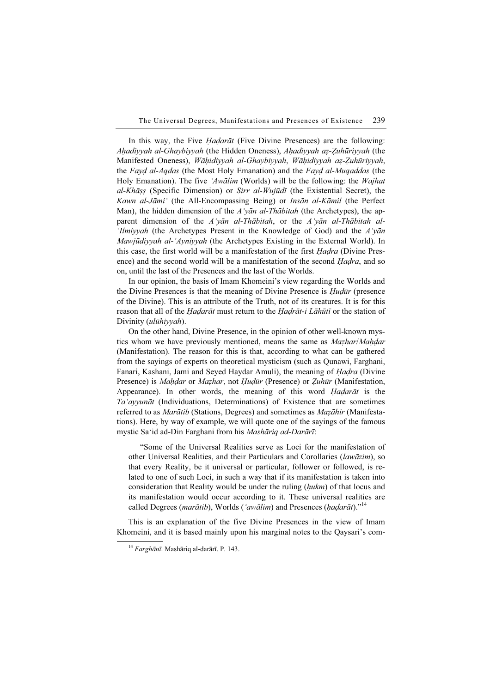In this way, the Five *Hadarāt* (Five Divine Presences) are the following: Aḥadiyyah al-Ghaybiyyah (the Hidden Oneness), Aḥadiyyah aẓ-Ẓuhūriyyah (the Manifested Oneness), Wāḥidiyyah al-Ghaybiyyah, Wāḥidiyyah aẓ-Ẓuhūriyyah, the Fayd al-Aqdas (the Most Holy Emanation) and the Fayd al-Muqaddas (the Holy Emanation). The five 'Awalim (Worlds) will be the following: the *Wajhat*  $al-Kh\bar{a}ss$  (Specific Dimension) or *Sirr al-Wujūdī* (the Existential Secret), the Kawn al-Jāmi' (the All-Encompassing Being) or Insān al-Kāmil (the Perfect Man), the hidden dimension of the  $A<sup>i</sup>$  variance unital (the Archetypes), the apparent dimension of the  $A'v\bar{a}n$  al-Thābitah, or the  $A'v\bar{a}n$  al-Thābitah al-'Ilmiyyah (the Archetypes Present in the Knowledge of God) and the  $\Lambda$ 'yan Mawjūdiyyah al-'Ayniyyah (the Archetypes Existing in the External World). In this case, the first world will be a manifestation of the first *Hadra* (Divine Presence) and the second world will be a manifestation of the second *Hadra*, and so on, until the last of the Presences and the last of the Worlds.

In our opinion, the basis of Imam Khomeini's view regarding the Worlds and the Divine Presences is that the meaning of Divine Presence is *Hudūr* (presence of the Divine). This is an attribute of the Truth, not of its creatures. It is for this reason that all of the *Ḥaḍarāt* must return to the *Ḥaḍrāt-i Lāhūtī* or the station of Divinity (*ulūhiyyah*).

On the other hand, Divine Presence, in the opinion of other well-known mystics whom we have previously mentioned, means the same as *Mazhar/Maḥḍar* (Manifestation). The reason for this is that, according to what can be gathered from the sayings of experts on theoretical mysticism (such as Qunawi, Farghani, Fanari, Kashani, Jami and Seyed Haydar Amuli), the meaning of *Hadra* (Divine Presence) is Maḥḍar or Maẓhar, not Ḥuḍūr (Presence) or Zuhūr (Manifestation, Appearance). In other words, the meaning of this word *Hadarāt* is the Ta'ayyunāt (Individuations, Determinations) of Existence that are sometimes referred to as *Marātib* (Stations, Degrees) and sometimes as *Mazāhir* (Manifestations). Here, by way of example, we will quote one of the sayings of the famous mystic Sa'id ad-Din Farghani from his Mashāriq ad-Darārī:

"Some of the Universal Realities serve as Loci for the manifestation of other Universal Realities, and their Particulars and Corollaries (lawāzim), so that every Reality, be it universal or particular, follower or followed, is related to one of such Loci, in such a way that if its manifestation is taken into consideration that Reality would be under the ruling  $(hukm)$  of that locus and its manifestation would occur according to it. These universal realities are called Degrees (marātib), Worlds ('awālim) and Presences (haḍarāt)."<sup>14</sup>

This is an explanation of the five Divine Presences in the view of Imam Khomeini, and it is based mainly upon his marginal notes to the Qaysari's com-

<sup>14</sup> Farghānī. Mashāriq al-darārī. P. 143.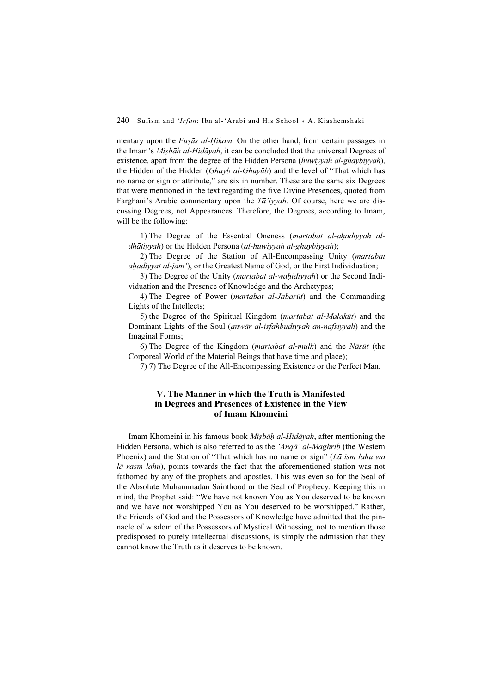mentary upon the *Fusūs al-Hikam*. On the other hand, from certain passages in the Imam's Misbah al-Hidayah, it can be concluded that the universal Degrees of existence, apart from the degree of the Hidden Persona (huwiyyah al-ghaybiyyah), the Hidden of the Hidden (Ghayb al-Ghuyūb) and the level of "That which has no name or sign or attribute," are six in number. These are the same six Degrees that were mentioned in the text regarding the five Divine Presences, quoted from Farghani's Arabic commentary upon the  $T\bar{a}$ 'iyyah. Of course, here we are discussing Degrees, not Appearances. Therefore, the Degrees, according to Imam, will be the following:

1) The Degree of the Essential Oneness (*martabat al-ahadiyyah al*dhātiyyah) or the Hidden Persona (al-huwiyyah al-ghaybiyyah);

2) The Degree of the Station of All-Encompassing Unity (martabat ahadiyyat al-jam'), or the Greatest Name of God, or the First Individuation;

3) The Degree of the Unity (*martabat al-wāḥidiyyah*) or the Second Individuation and the Presence of Knowledge and the Archetypes;

4) The Degree of Power (martabat al-Jabarūt) and the Commanding Lights of the Intellects;

5) the Degree of the Spiritual Kingdom (martabat al-Malakūt) and the Dominant Lights of the Soul (anwār al-isfahbudiyyah an-nafsiyyah) and the Imaginal Forms;

6) The Degree of the Kingdom (*martabat al-mulk*) and the *Nāsūt* (the Corporeal World of the Material Beings that have time and place);

7) 7) The Degree of the All-Encompassing Existence or the Perfect Man.

## V. The Manner in which the Truth is Manifested in Degrees and Presences of Existence in the View of Imam Khomeini

Imam Khomeini in his famous book Miṣbāḥ al-Hidāyah, after mentioning the Hidden Persona, which is also referred to as the 'Anqā' al-Maghrib (the Western Phoenix) and the Station of "That which has no name or sign" ( $L\bar{a}$  ism lahu wa  $l\bar{a}$  rasm lahu), points towards the fact that the aforementioned station was not fathomed by any of the prophets and apostles. This was even so for the Seal of the Absolute Muhammadan Sainthood or the Seal of Prophecy. Keeping this in mind, the Prophet said: "We have not known You as You deserved to be known and we have not worshipped You as You deserved to be worshipped." Rather, the Friends of God and the Possessors of Knowledge have admitted that the pinnacle of wisdom of the Possessors of Mystical Witnessing, not to mention those predisposed to purely intellectual discussions, is simply the admission that they cannot know the Truth as it deserves to be known.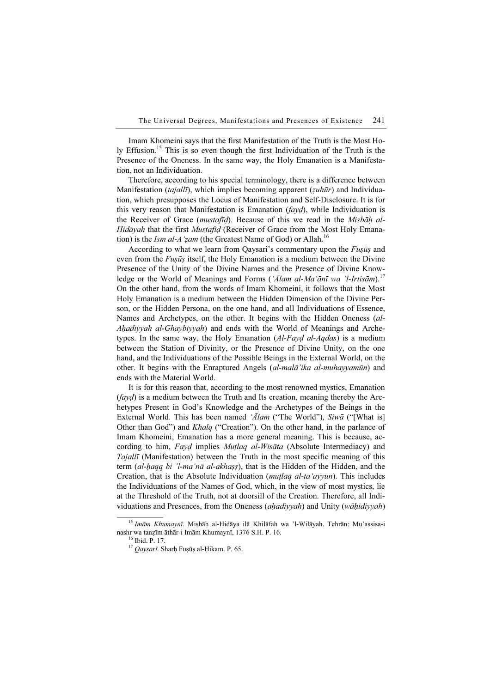Imam Khomeini says that the first Manifestation of the Truth is the Most Holy Effusion.<sup>15</sup> This is so even though the first Individuation of the Truth is the Presence of the Oneness. In the same way, the Holy Emanation is a Manifestation, not an Individuation.

Therefore, according to his special terminology, there is a difference between Manifestation (tajallī), which implies becoming apparent (zuhūr) and Individuation, which presupposes the Locus of Manifestation and Self-Disclosure. It is for this very reason that Manifestation is Emanation  $(f \alpha y d)$ , while Individuation is the Receiver of Grace (*mustafid*). Because of this we read in the *Misbah al-*Hidāyah that the first Mustafīd (Receiver of Grace from the Most Holy Emanation) is the Ism al-A'zam (the Greatest Name of God) or Allah.<sup>16</sup>

According to what we learn from Qaysari's commentary upon the  $Fus\bar{u}s$  and even from the *Fuṣūṣ* itself, the Holy Emanation is a medium between the Divine Presence of the Unity of the Divine Names and the Presence of Divine Knowledge or the World of Meanings and Forms (' $\bar{A}$ lam al-Ma'ānī wa 'l-Irtisām).<sup>17</sup> On the other hand, from the words of Imam Khomeini, it follows that the Most Holy Emanation is a medium between the Hidden Dimension of the Divine Person, or the Hidden Persona, on the one hand, and all Individuations of Essence, Names and Archetypes, on the other. It begins with the Hidden Oneness (al-Ahadiyyah al-Ghaybiyyah) and ends with the World of Meanings and Archetypes. In the same way, the Holy Emanation  $(Al-Fayd al-Aqdas)$  is a medium between the Station of Divinity, or the Presence of Divine Unity, on the one hand, and the Individuations of the Possible Beings in the External World, on the other. It begins with the Enraptured Angels (al-malā'ika al-muhayyamūn) and ends with the Material World.

It is for this reason that, according to the most renowned mystics, Emanation  $(f \alpha y d)$  is a medium between the Truth and Its creation, meaning thereby the Archetypes Present in God's Knowledge and the Archetypes of the Beings in the External World. This has been named ' $\bar{A}$ lam ("The World"), Siwa ("[What is] Other than God") and Khalq ("Creation"). On the other hand, in the parlance of Imam Khomeini, Emanation has a more general meaning. This is because, according to him, Fayd implies Mutlaq al-Wisāta (Absolute Intermediacy) and Tajallī (Manifestation) between the Truth in the most specific meaning of this term *(al-haqq bi 'l-ma'nā al-akhass*), that is the Hidden of the Hidden, and the Creation, that is the Absolute Individuation (mutlaq al-ta'ayyun). This includes the Individuations of the Names of God, which, in the view of most mystics, lie at the Threshold of the Truth, not at doorsill of the Creation. Therefore, all Individuations and Presences, from the Oneness (*ahadiyyah*) and Unity (*wāhidiyyah*)

<sup>&</sup>lt;sup>15</sup> Imām Khumaynī. Mișbāḥ al-Hidāya ilā Khilāfah wa 'l-Wilāyah. Tehrān: Mu'assisa-i nashr wa tanzīm āthār-i Imām Khumaynī, 1376 S.H. P. 16. <sup>16</sup> Ibid. P. 17.

<sup>&</sup>lt;sup>17</sup> Qayşarī. Sharḥ Fuṣūṣ al-Ḥikam. P. 65.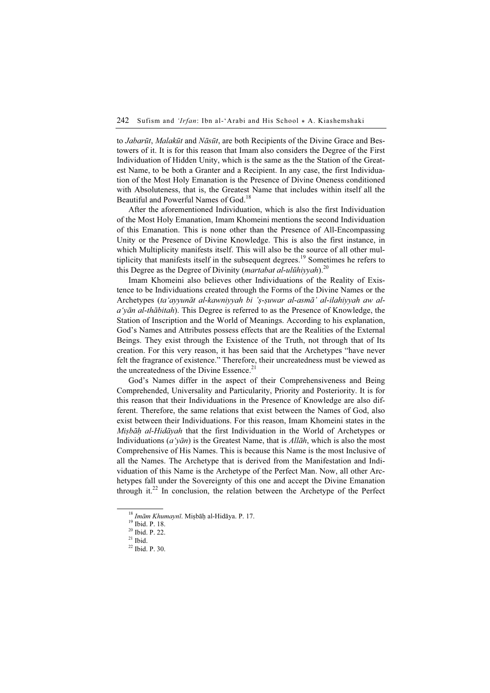to *Jabarūt, Malakūt* and *Nāsūt*, are both Recipients of the Divine Grace and Bestowers of it. It is for this reason that Imam also considers the Degree of the First Individuation of Hidden Unity, which is the same as the the Station of the Greatest Name, to be both a Granter and a Recipient. In any case, the first Individuation of the Most Holy Emanation is the Presence of Divine Oneness conditioned with Absoluteness, that is, the Greatest Name that includes within itself all the Beautiful and Powerful Names of God.<sup>18</sup>

After the aforementioned Individuation, which is also the first Individuation of the Most Holy Emanation, Imam Khomeini mentions the second Individuation of this Emanation. This is none other than the Presence of All-Encompassing Unity or the Presence of Divine Knowledge. This is also the first instance, in which Multiplicity manifests itself. This will also be the source of all other multiplicity that manifests itself in the subsequent degrees.<sup>19</sup> Sometimes he refers to this Degree as the Degree of Divinity (*martabat al-ulūhiyyah*).<sup>20</sup>

Imam Khomeini also believes other Individuations of the Reality of Existence to be Individuations created through the Forms of the Divine Names or the Archetypes (ta'ayyunāt al-kawniyyah bi 'ṣ-ṣuwar al-asmā' al-ilahiyyah aw al $a'y\bar{a}n$  al-th $\bar{a}b$ itah). This Degree is referred to as the Presence of Knowledge, the Station of Inscription and the World of Meanings. According to his explanation, God's Names and Attributes possess effects that are the Realities of the External Beings. They exist through the Existence of the Truth, not through that of Its creation. For this very reason, it has been said that the Archetypes "have never felt the fragrance of existence." Therefore, their uncreatedness must be viewed as the uncreatedness of the Divine Essence.<sup>21</sup>

God's Names differ in the aspect of their Comprehensiveness and Being Comprehended, Universality and Particularity, Priority and Posteriority. It is for this reason that their Individuations in the Presence of Knowledge are also different. Therefore, the same relations that exist between the Names of God, also exist between their Individuations. For this reason, Imam Khomeini states in the Mişbāh al-Hidāyah that the first Individuation in the World of Archetypes or Individuations ( $a'y\bar{a}n$ ) is the Greatest Name, that is All $\bar{a}h$ , which is also the most Comprehensive of His Names. This is because this Name is the most Inclusive of all the Names. The Archetype that is derived from the Manifestation and Individuation of this Name is the Archetype of the Perfect Man. Now, all other Archetypes fall under the Sovereignty of this one and accept the Divine Emanation through it.<sup>22</sup> In conclusion, the relation between the Archetype of the Perfect

<sup>&</sup>lt;sup>18</sup> Imām Khumaynī. Miṣbāḥ al-Hidāya. P. 17.<br><sup>19</sup> Ibid. P. 18.

<sup>20</sup> Ibid. P. 22.

 $21$  Ibid.

<sup>22</sup> Ibid. P. 30.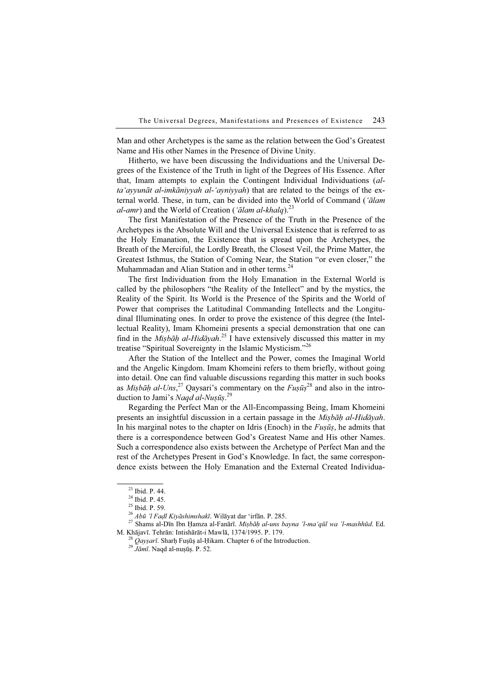Man and other Archetypes is the same as the relation between the God's Greatest Name and His other Names in the Presence of Divine Unity.

Hitherto, we have been discussing the Individuations and the Universal Degrees of the Existence of the Truth in light of the Degrees of His Essence. After that, Imam attempts to explain the Contingent Individual Individuations (alta'ayyunāt al-imkāniyyah al-'ayniyyah) that are related to the beings of the external world. These, in turn, can be divided into the World of Command ('ālam *al-amr*) and the World of Creation ('*ālam al-khalq*).<sup>23</sup>

The first Manifestation of the Presence of the Truth in the Presence of the Archetypes is the Absolute Will and the Universal Existence that is referred to as the Holy Emanation, the Existence that is spread upon the Archetypes, the Breath of the Merciful, the Lordly Breath, the Closest Veil, the Prime Matter, the Greatest Isthmus, the Station of Coming Near, the Station "or even closer," the Muhammadan and Alian Station and in other terms.<sup>24</sup>

The first Individuation from the Holy Emanation in the External World is called by the philosophers "the Reality of the Intellect" and by the mystics, the Reality of the Spirit. Its World is the Presence of the Spirits and the World of Power that comprises the Latitudinal Commanding Intellects and the Longitudinal Illuminating ones. In order to prove the existence of this degree (the Intellectual Reality), Imam Khomeini presents a special demonstration that one can find in the *Miṣbāḥ al-Hidāyah*.<sup>25</sup> I have extensively discussed this matter in my treatise "Spiritual Sovereignty in the Islamic Mysticism."<sup>26</sup>

After the Station of the Intellect and the Power, comes the Imaginal World and the Angelic Kingdom. Imam Khomeini refers to them briefly, without going into detail. One can find valuable discussions regarding this matter in such books as *Miṣbāḥ al-Uns*,<sup>27</sup> Qaysari's commentary on the  $F \mu s \bar{u} s^{28}$  and also in the introduction to Jami's Naqd al-Nuṣūṣ.<sup>29</sup>

Regarding the Perfect Man or the All-Encompassing Being, Imam Khomeini presents an insightful discussion in a certain passage in the Miṣbāḥ al-Hidāyah. In his marginal notes to the chapter on Idris (Enoch) in the  $Fus\bar{u}s$ , he admits that there is a correspondence between God's Greatest Name and His other Names. Such a correspondence also exists between the Archetype of Perfect Man and the rest of the Archetypes Present in God's Knowledge. In fact, the same correspondence exists between the Holy Emanation and the External Created Individua-

<sup>23</sup> Ibid. P. 44.

<sup>24</sup> Ibid. P. 45.

<sup>&</sup>lt;sup>25</sup> Ibid. P. 59.<br><sup>26</sup> *Abū 'l Faḍl Kiyāshimshakī*. Wilāyat dar 'irfān. P. 285.

<sup>&</sup>lt;sup>27</sup> Shams al-Dīn Ibn Ḥamza al-Fanārī. Miṣbāḥ al-uns bayna 'l-ma'qūl wa 'l-mashhūd. Ed. M. Khājavī. Tehrān: Intishārāt-i Mawlā, 1374/1995. P. 179.<br><sup>28</sup> Qayṣarī. Sharḥ Fuṣūṣ al-Ḥikam. Chapter 6 of the Introduction.<br><sup>29</sup> Jāmī. Naqd al-nuṣūṣ. P. 52.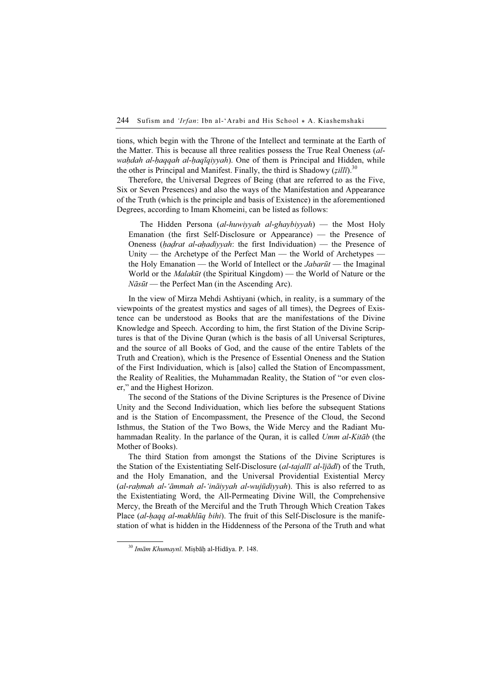tions, which begin with the Throne of the Intellect and terminate at the Earth of the Matter. This is because all three realities possess the True Real Oneness (alwaḥdah al-ḥaqqah al-ḥaqīqiyyah). One of them is Principal and Hidden, while the other is Principal and Manifest. Finally, the third is Shadowy ( $zill\bar{\imath}$ ).<sup>30</sup>

Therefore, the Universal Degrees of Being (that are referred to as the Five, Six or Seven Presences) and also the ways of the Manifestation and Appearance of the Truth (which is the principle and basis of Existence) in the aforementioned Degrees, according to Imam Khomeini, can be listed as follows:

The Hidden Persona (al-huwiyyah al-ghaybiyyah) — the Most Holy Emanation (the first Self-Disclosure or Appearance) — the Presence of Oneness (*hadrat al-ahadiyyah*: the first Individuation) — the Presence of Unity — the Archetype of the Perfect Man — the World of Archetypes the Holy Emanation — the World of Intellect or the *Jabarūt* — the Imaginal World or the *Malakūt* (the Spiritual Kingdom) — the World of Nature or the  $N\bar{a}s\bar{u}t$  — the Perfect Man (in the Ascending Arc).

In the view of Mirza Mehdi Ashtiyani (which, in reality, is a summary of the viewpoints of the greatest mystics and sages of all times), the Degrees of Existence can be understood as Books that are the manifestations of the Divine Knowledge and Speech. According to him, the first Station of the Divine Scriptures is that of the Divine Quran (which is the basis of all Universal Scriptures, and the source of all Books of God, and the cause of the entire Tablets of the Truth and Creation), which is the Presence of Essential Oneness and the Station of the First Individuation, which is [also] called the Station of Encompassment, the Reality of Realities, the Muhammadan Reality, the Station of "or even closer," and the Highest Horizon.

The second of the Stations of the Divine Scriptures is the Presence of Divine Unity and the Second Individuation, which lies before the subsequent Stations and is the Station of Encompassment, the Presence of the Cloud, the Second Isthmus, the Station of the Two Bows, the Wide Mercy and the Radiant Muhammadan Reality. In the parlance of the Quran, it is called Umm al-Kitāb (the Mother of Books).

The third Station from amongst the Stations of the Divine Scriptures is the Station of the Existentiating Self-Disclosure (al-tajallī al-ījādī) of the Truth, and the Holy Emanation, and the Universal Providential Existential Mercy (al-raḥmah al-'āmmah al-'ināiyyah al-wujūdiyyah). This is also referred to as the Existentiating Word, the All-Permeating Divine Will, the Comprehensive Mercy, the Breath of the Merciful and the Truth Through Which Creation Takes Place (al-haqq al-makhlūq bihi). The fruit of this Self-Disclosure is the manifestation of what is hidden in the Hiddenness of the Persona of the Truth and what

<sup>30</sup> Imām Khumaynī. Miṣbāḥ al-Hidāya. P. 148.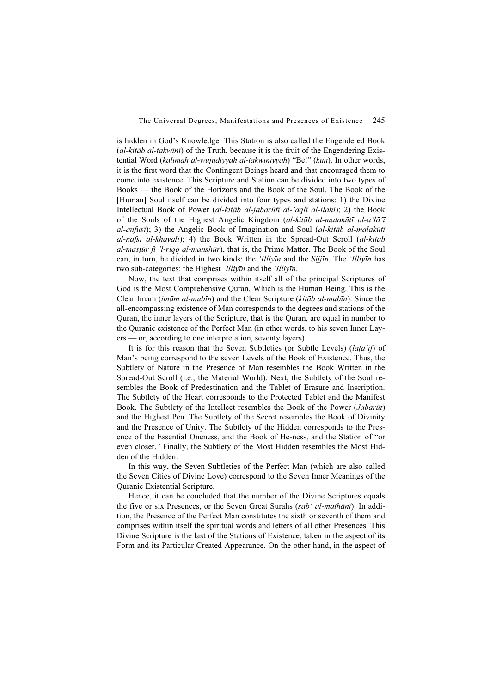is hidden in God's Knowledge. This Station is also called the Engendered Book  $(al-kit\bar{a}b\ al-takw\bar{u}n\bar{i})$  of the Truth, because it is the fruit of the Engendering Existential Word (kalimah al-wujūdiyyah al-takwīniyyah) "Be!" (kun). In other words, it is the first word that the Contingent Beings heard and that encouraged them to come into existence. This Scripture and Station can be divided into two types of Books — the Book of the Horizons and the Book of the Soul. The Book of the [Human] Soul itself can be divided into four types and stations: 1) the Divine Intellectual Book of Power (al-kitāb al-jabarūtī al-'aqlī al-ilahī); 2) the Book of the Souls of the Highest Angelic Kingdom (al-kitāb al-malakūtī al-a'lā'ī al-anfusī); 3) the Angelic Book of Imagination and Soul (al-kitāb al-malakūtī al-nafsī al-khayālī); 4) the Book Written in the Spread-Out Scroll (al-kitāb al-mastūr fī 'l-riqq al-manshūr), that is, the Prime Matter. The Book of the Soul can, in turn, be divided in two kinds: the *'Illiyīn* and the *Sijjīn*. The *'Illiyīn* has two sub-categories: the Highest 'Illiyīn and the 'Illiyīn.

Now, the text that comprises within itself all of the principal Scriptures of God is the Most Comprehensive Quran, Which is the Human Being. This is the Clear Imam (imām al-mubīn) and the Clear Scripture (kitāb al-mubīn). Since the all-encompassing existence of Man corresponds to the degrees and stations of the Quran, the inner layers of the Scripture, that is the Quran, are equal in number to the Quranic existence of the Perfect Man (in other words, to his seven Inner Layers — or, according to one interpretation, seventy layers).

It is for this reason that the Seven Subtleties (or Subtle Levels) (lață'if) of Man's being correspond to the seven Levels of the Book of Existence. Thus, the Subtlety of Nature in the Presence of Man resembles the Book Written in the Spread-Out Scroll (i.e., the Material World). Next, the Subtlety of the Soul resembles the Book of Predestination and the Tablet of Erasure and Inscription. The Subtlety of the Heart corresponds to the Protected Tablet and the Manifest Book. The Subtlety of the Intellect resembles the Book of the Power (Jabarūt) and the Highest Pen. The Subtlety of the Secret resembles the Book of Divinity and the Presence of Unity. The Subtlety of the Hidden corresponds to the Presence of the Essential Oneness, and the Book of He-ness, and the Station of "or even closer." Finally, the Subtlety of the Most Hidden resembles the Most Hidden of the Hidden.

In this way, the Seven Subtleties of the Perfect Man (which are also called the Seven Cities of Divine Love) correspond to the Seven Inner Meanings of the Quranic Existential Scripture.

Hence, it can be concluded that the number of the Divine Scriptures equals the five or six Presences, or the Seven Great Surahs (sab' al-mathānī). In addition, the Presence of the Perfect Man constitutes the sixth or seventh of them and comprises within itself the spiritual words and letters of all other Presences. This Divine Scripture is the last of the Stations of Existence, taken in the aspect of its Form and its Particular Created Appearance. On the other hand, in the aspect of